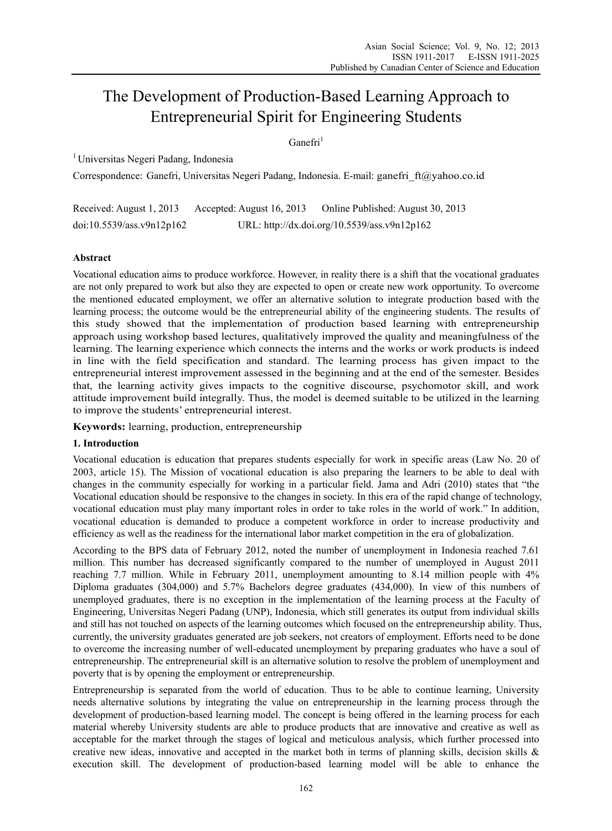# The Development of Production-Based Learning Approach to Entrepreneurial Spirit for Engineering Students

 $Ganefri<sup>1</sup>$ 

1 Universitas Negeri Padang, Indonesia

Correspondence: Ganefri, Universitas Negeri Padang, Indonesia. E-mail: ganefri\_ft@yahoo.co.id

Received: August 1, 2013 Accepted: August 16, 2013 Online Published: August 30, 2013 doi:10.5539/ass.v9n12p162 URL: http://dx.doi.org/10.5539/ass.v9n12p162

# **Abstract**

Vocational education aims to produce workforce. However, in reality there is a shift that the vocational graduates are not only prepared to work but also they are expected to open or create new work opportunity. To overcome the mentioned educated employment, we offer an alternative solution to integrate production based with the learning process; the outcome would be the entrepreneurial ability of the engineering students. The results of this study showed that the implementation of production based learning with entrepreneurship approach using workshop based lectures, qualitatively improved the quality and meaningfulness of the learning. The learning experience which connects the interns and the works or work products is indeed in line with the field specification and standard. The learning process has given impact to the entrepreneurial interest improvement assessed in the beginning and at the end of the semester. Besides that, the learning activity gives impacts to the cognitive discourse, psychomotor skill, and work attitude improvement build integrally. Thus, the model is deemed suitable to be utilized in the learning to improve the students' entrepreneurial interest.

**Keywords:** learning, production, entrepreneurship

# **1. Introduction**

Vocational education is education that prepares students especially for work in specific areas (Law No. 20 of 2003, article 15). The Mission of vocational education is also preparing the learners to be able to deal with changes in the community especially for working in a particular field. Jama and Adri (2010) states that "the Vocational education should be responsive to the changes in society. In this era of the rapid change of technology, vocational education must play many important roles in order to take roles in the world of work." In addition, vocational education is demanded to produce a competent workforce in order to increase productivity and efficiency as well as the readiness for the international labor market competition in the era of globalization.

According to the BPS data of February 2012, noted the number of unemployment in Indonesia reached 7.61 million. This number has decreased significantly compared to the number of unemployed in August 2011 reaching 7.7 million. While in February 2011, unemployment amounting to 8.14 million people with 4% Diploma graduates (304,000) and 5.7% Bachelors degree graduates (434,000). In view of this numbers of unemployed graduates, there is no exception in the implementation of the learning process at the Faculty of Engineering, Universitas Negeri Padang (UNP), Indonesia, which still generates its output from individual skills and still has not touched on aspects of the learning outcomes which focused on the entrepreneurship ability. Thus, currently, the university graduates generated are job seekers, not creators of employment. Efforts need to be done to overcome the increasing number of well-educated unemployment by preparing graduates who have a soul of entrepreneurship. The entrepreneurial skill is an alternative solution to resolve the problem of unemployment and poverty that is by opening the employment or entrepreneurship.

Entrepreneurship is separated from the world of education. Thus to be able to continue learning, University needs alternative solutions by integrating the value on entrepreneurship in the learning process through the development of production-based learning model. The concept is being offered in the learning process for each material whereby University students are able to produce products that are innovative and creative as well as acceptable for the market through the stages of logical and meticulous analysis, which further processed into creative new ideas, innovative and accepted in the market both in terms of planning skills, decision skills  $\&$ execution skill. The development of production-based learning model will be able to enhance the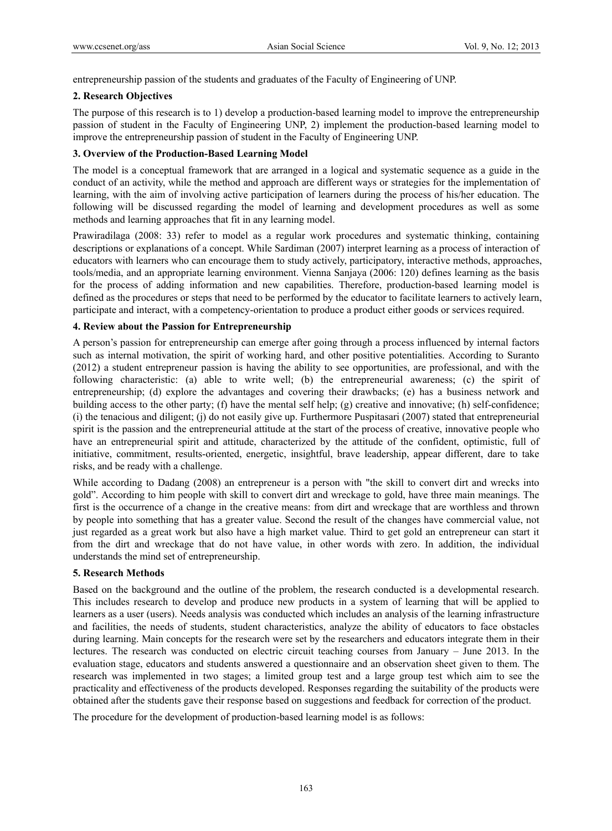entrepreneurship passion of the students and graduates of the Faculty of Engineering of UNP.

### **2. Research Objectives**

The purpose of this research is to 1) develop a production-based learning model to improve the entrepreneurship passion of student in the Faculty of Engineering UNP, 2) implement the production-based learning model to improve the entrepreneurship passion of student in the Faculty of Engineering UNP.

# **3. Overview of the Production-Based Learning Model**

The model is a conceptual framework that are arranged in a logical and systematic sequence as a guide in the conduct of an activity, while the method and approach are different ways or strategies for the implementation of learning, with the aim of involving active participation of learners during the process of his/her education. The following will be discussed regarding the model of learning and development procedures as well as some methods and learning approaches that fit in any learning model.

Prawiradilaga (2008: 33) refer to model as a regular work procedures and systematic thinking, containing descriptions or explanations of a concept. While Sardiman (2007) interpret learning as a process of interaction of educators with learners who can encourage them to study actively, participatory, interactive methods, approaches, tools/media, and an appropriate learning environment. Vienna Sanjaya (2006: 120) defines learning as the basis for the process of adding information and new capabilities. Therefore, production-based learning model is defined as the procedures or steps that need to be performed by the educator to facilitate learners to actively learn, participate and interact, with a competency-orientation to produce a product either goods or services required.

### **4. Review about the Passion for Entrepreneurship**

A person's passion for entrepreneurship can emerge after going through a process influenced by internal factors such as internal motivation, the spirit of working hard, and other positive potentialities. According to Suranto (2012) a student entrepreneur passion is having the ability to see opportunities, are professional, and with the following characteristic: (a) able to write well; (b) the entrepreneurial awareness; (c) the spirit of entrepreneurship; (d) explore the advantages and covering their drawbacks; (e) has a business network and building access to the other party; (f) have the mental self help; (g) creative and innovative; (h) self-confidence; (i) the tenacious and diligent; (j) do not easily give up. Furthermore Puspitasari (2007) stated that entrepreneurial spirit is the passion and the entrepreneurial attitude at the start of the process of creative, innovative people who have an entrepreneurial spirit and attitude, characterized by the attitude of the confident, optimistic, full of initiative, commitment, results-oriented, energetic, insightful, brave leadership, appear different, dare to take risks, and be ready with a challenge.

While according to Dadang (2008) an entrepreneur is a person with "the skill to convert dirt and wrecks into gold". According to him people with skill to convert dirt and wreckage to gold, have three main meanings. The first is the occurrence of a change in the creative means: from dirt and wreckage that are worthless and thrown by people into something that has a greater value. Second the result of the changes have commercial value, not just regarded as a great work but also have a high market value. Third to get gold an entrepreneur can start it from the dirt and wreckage that do not have value, in other words with zero. In addition, the individual understands the mind set of entrepreneurship.

# **5. Research Methods**

Based on the background and the outline of the problem, the research conducted is a developmental research. This includes research to develop and produce new products in a system of learning that will be applied to learners as a user (users). Needs analysis was conducted which includes an analysis of the learning infrastructure and facilities, the needs of students, student characteristics, analyze the ability of educators to face obstacles during learning. Main concepts for the research were set by the researchers and educators integrate them in their lectures. The research was conducted on electric circuit teaching courses from January – June 2013. In the evaluation stage, educators and students answered a questionnaire and an observation sheet given to them. The research was implemented in two stages; a limited group test and a large group test which aim to see the practicality and effectiveness of the products developed. Responses regarding the suitability of the products were obtained after the students gave their response based on suggestions and feedback for correction of the product.

The procedure for the development of production-based learning model is as follows: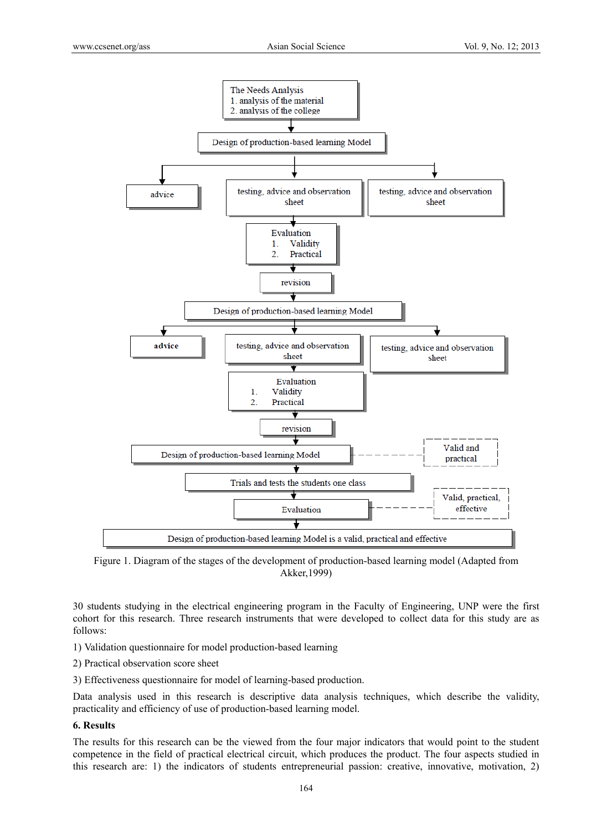

Figure 1. Diagram of the stages of the development of production-based learning model (Adapted from Akker,1999)

30 students studying in the electrical engineering program in the Faculty of Engineering, UNP were the first cohort for this research. Three research instruments that were developed to collect data for this study are as follows:

1) Validation questionnaire for model production-based learning

2) Practical observation score sheet

3) Effectiveness questionnaire for model of learning-based production.

Data analysis used in this research is descriptive data analysis techniques, which describe the validity, practicality and efficiency of use of production-based learning model.

#### **6. Results**

The results for this research can be the viewed from the four major indicators that would point to the student competence in the field of practical electrical circuit, which produces the product. The four aspects studied in this research are: 1) the indicators of students entrepreneurial passion: creative, innovative, motivation, 2)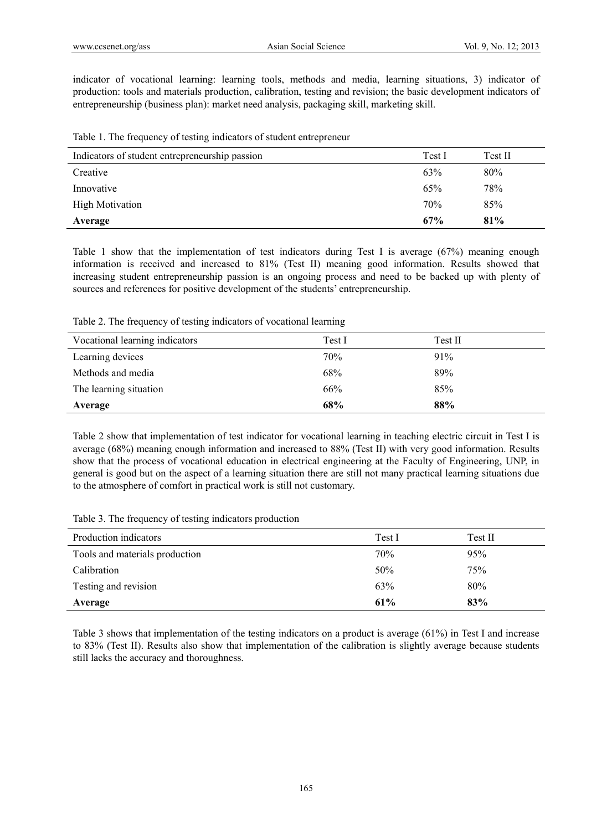indicator of vocational learning: learning tools, methods and media, learning situations, 3) indicator of production: tools and materials production, calibration, testing and revision; the basic development indicators of entrepreneurship (business plan): market need analysis, packaging skill, marketing skill.

| Indicators of student entrepreneurship passion | Test I | Test II |
|------------------------------------------------|--------|---------|
| Creative                                       | 63%    | 80%     |
| Innovative                                     | 65%    | 78%     |
| <b>High Motivation</b>                         | 70%    | 85%     |
| Average                                        | 67%    | 81%     |

Table 1. The frequency of testing indicators of student entrepreneur

Table 1 show that the implementation of test indicators during Test I is average (67%) meaning enough information is received and increased to 81% (Test II) meaning good information. Results showed that increasing student entrepreneurship passion is an ongoing process and need to be backed up with plenty of sources and references for positive development of the students' entrepreneurship.

Table 2. The frequency of testing indicators of vocational learning

| Vocational learning indicators | Test I | Test II |
|--------------------------------|--------|---------|
| Learning devices               | 70%    | 91%     |
| Methods and media              | 68%    | 89%     |
| The learning situation         | 66%    | 85%     |
| Average                        | 68%    | 88%     |

Table 2 show that implementation of test indicator for vocational learning in teaching electric circuit in Test I is average (68%) meaning enough information and increased to 88% (Test II) with very good information. Results show that the process of vocational education in electrical engineering at the Faculty of Engineering, UNP, in general is good but on the aspect of a learning situation there are still not many practical learning situations due to the atmosphere of comfort in practical work is still not customary.

Table 3. The frequency of testing indicators production

| Production indicators          | Test I | Test II |
|--------------------------------|--------|---------|
| Tools and materials production | 70%    | 95%     |
| Calibration                    | 50%    | 75%     |
| Testing and revision           | 63%    | 80%     |
| Average                        | 61%    | 83%     |

Table 3 shows that implementation of the testing indicators on a product is average (61%) in Test I and increase to 83% (Test II). Results also show that implementation of the calibration is slightly average because students still lacks the accuracy and thoroughness.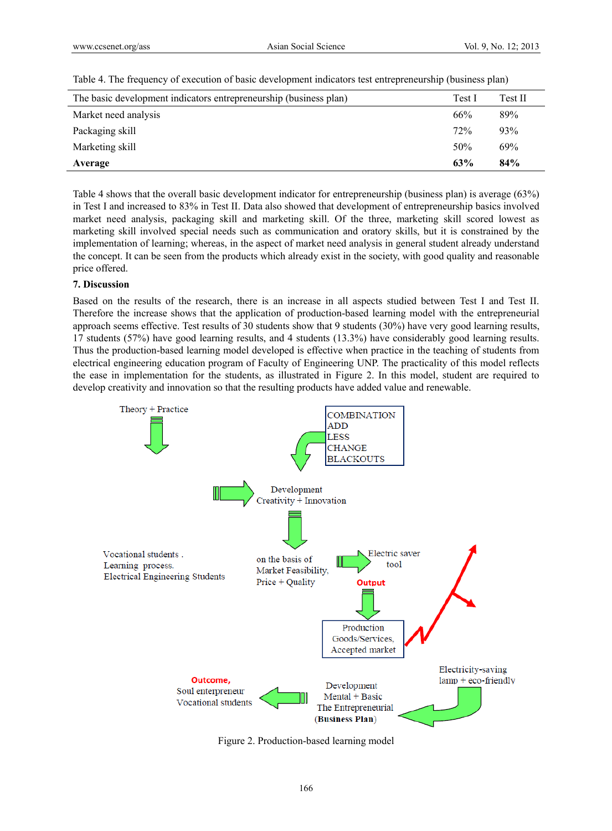| The basic development indicators entrepreneurship (business plan) | Test I | Test II |
|-------------------------------------------------------------------|--------|---------|
| Market need analysis                                              | 66%    | 89%     |
| Packaging skill                                                   | 72%    | 93%     |
| Marketing skill                                                   | 50%    | 69%     |
| Average                                                           | 63%    | 84%     |

Table 4. The frequency of execution of basic development indicators test entrepreneurship (business plan)

Table 4 shows that the overall basic development indicator for entrepreneurship (business plan) is average (63%) in Test I and increased to 83% in Test II. Data also showed that development of entrepreneurship basics involved market need analysis, packaging skill and marketing skill. Of the three, marketing skill scored lowest as marketing skill involved special needs such as communication and oratory skills, but it is constrained by the implementation of learning; whereas, in the aspect of market need analysis in general student already understand the concept. It can be seen from the products which already exist in the society, with good quality and reasonable price offered.

### **7. Discussion**

Based on the results of the research, there is an increase in all aspects studied between Test I and Test II. Therefore the increase shows that the application of production-based learning model with the entrepreneurial approach seems effective. Test results of 30 students show that 9 students (30%) have very good learning results, 17 students (57%) have good learning results, and 4 students (13.3%) have considerably good learning results. Thus the production-based learning model developed is effective when practice in the teaching of students from electrical engineering education program of Faculty of Engineering UNP. The practicality of this model reflects the ease in implementation for the students, as illustrated in Figure 2. In this model, student are required to develop creativity and innovation so that the resulting products have added value and renewable.



Figure 2. Production-based learning model